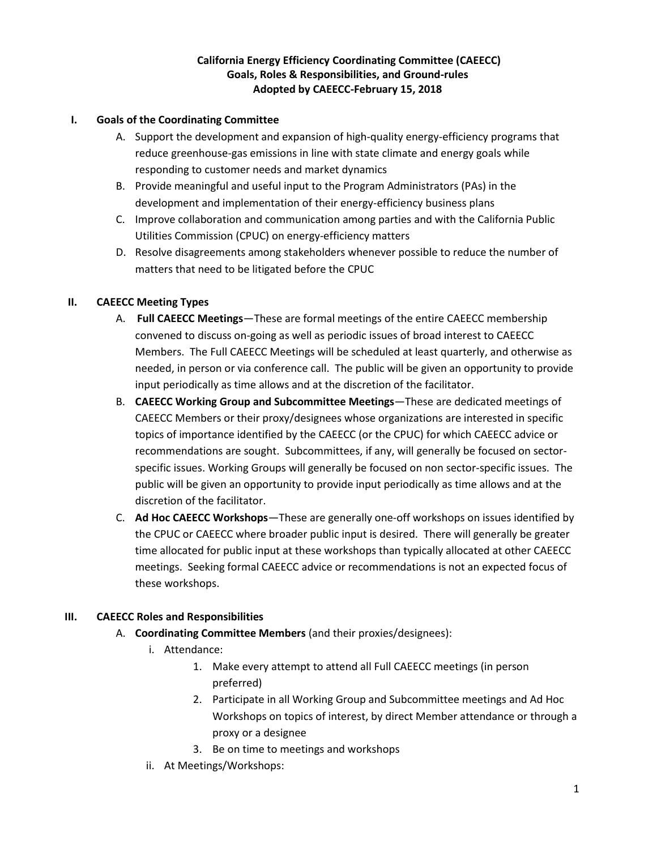# **California Energy Efficiency Coordinating Committee (CAEECC) Goals, Roles & Responsibilities, and Ground-rules Adopted by CAEECC-February 15, 2018**

### **I. Goals of the Coordinating Committee**

- A. Support the development and expansion of high-quality energy-efficiency programs that reduce greenhouse-gas emissions in line with state climate and energy goals while responding to customer needs and market dynamics
- B. Provide meaningful and useful input to the Program Administrators (PAs) in the development and implementation of their energy-efficiency business plans
- C. Improve collaboration and communication among parties and with the California Public Utilities Commission (CPUC) on energy-efficiency matters
- D. Resolve disagreements among stakeholders whenever possible to reduce the number of matters that need to be litigated before the CPUC

### **II. CAEECC Meeting Types**

- A. **Full CAEECC Meetings**—These are formal meetings of the entire CAEECC membership convened to discuss on-going as well as periodic issues of broad interest to CAEECC Members. The Full CAEECC Meetings will be scheduled at least quarterly, and otherwise as needed, in person or via conference call. The public will be given an opportunity to provide input periodically as time allows and at the discretion of the facilitator.
- B. **CAEECC Working Group and Subcommittee Meetings**—These are dedicated meetings of CAEECC Members or their proxy/designees whose organizations are interested in specific topics of importance identified by the CAEECC (or the CPUC) for which CAEECC advice or recommendations are sought. Subcommittees, if any, will generally be focused on sectorspecific issues. Working Groups will generally be focused on non sector-specific issues. The public will be given an opportunity to provide input periodically as time allows and at the discretion of the facilitator.
- C. **Ad Hoc CAEECC Workshops**—These are generally one-off workshops on issues identified by the CPUC or CAEECC where broader public input is desired. There will generally be greater time allocated for public input at these workshops than typically allocated at other CAEECC meetings. Seeking formal CAEECC advice or recommendations is not an expected focus of these workshops.

# **III. CAEECC Roles and Responsibilities**

- A. **Coordinating Committee Members** (and their proxies/designees):
	- i. Attendance:
		- 1. Make every attempt to attend all Full CAEECC meetings (in person preferred)
		- 2. Participate in all Working Group and Subcommittee meetings and Ad Hoc Workshops on topics of interest, by direct Member attendance or through a proxy or a designee
		- 3. Be on time to meetings and workshops
	- ii. At Meetings/Workshops: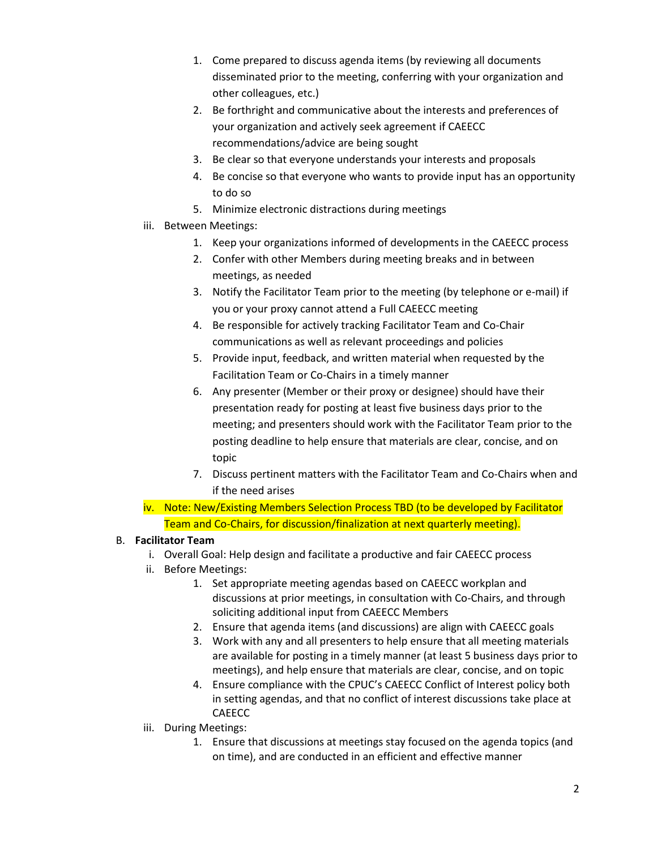- 1. Come prepared to discuss agenda items (by reviewing all documents disseminated prior to the meeting, conferring with your organization and other colleagues, etc.)
- 2. Be forthright and communicative about the interests and preferences of your organization and actively seek agreement if CAEECC recommendations/advice are being sought
- 3. Be clear so that everyone understands your interests and proposals
- 4. Be concise so that everyone who wants to provide input has an opportunity to do so
- 5. Minimize electronic distractions during meetings
- iii. Between Meetings:
	- 1. Keep your organizations informed of developments in the CAEECC process
	- 2. Confer with other Members during meeting breaks and in between meetings, as needed
	- 3. Notify the Facilitator Team prior to the meeting (by telephone or e-mail) if you or your proxy cannot attend a Full CAEECC meeting
	- 4. Be responsible for actively tracking Facilitator Team and Co-Chair communications as well as relevant proceedings and policies
	- 5. Provide input, feedback, and written material when requested by the Facilitation Team or Co-Chairs in a timely manner
	- 6. Any presenter (Member or their proxy or designee) should have their presentation ready for posting at least five business days prior to the meeting; and presenters should work with the Facilitator Team prior to the posting deadline to help ensure that materials are clear, concise, and on topic
	- 7. Discuss pertinent matters with the Facilitator Team and Co-Chairs when and if the need arises
- iv. Note: New/Existing Members Selection Process TBD (to be developed by Facilitator Team and Co-Chairs, for discussion/finalization at next quarterly meeting).

# B. **Facilitator Team**

- i. Overall Goal: Help design and facilitate a productive and fair CAEECC process
- ii. Before Meetings:
	- 1. Set appropriate meeting agendas based on CAEECC workplan and discussions at prior meetings, in consultation with Co-Chairs, and through soliciting additional input from CAEECC Members
	- 2. Ensure that agenda items (and discussions) are align with CAEECC goals
	- 3. Work with any and all presenters to help ensure that all meeting materials are available for posting in a timely manner (at least 5 business days prior to meetings), and help ensure that materials are clear, concise, and on topic
	- 4. Ensure compliance with the CPUC's CAEECC Conflict of Interest policy both in setting agendas, and that no conflict of interest discussions take place at CAEECC
- iii. During Meetings:
	- 1. Ensure that discussions at meetings stay focused on the agenda topics (and on time), and are conducted in an efficient and effective manner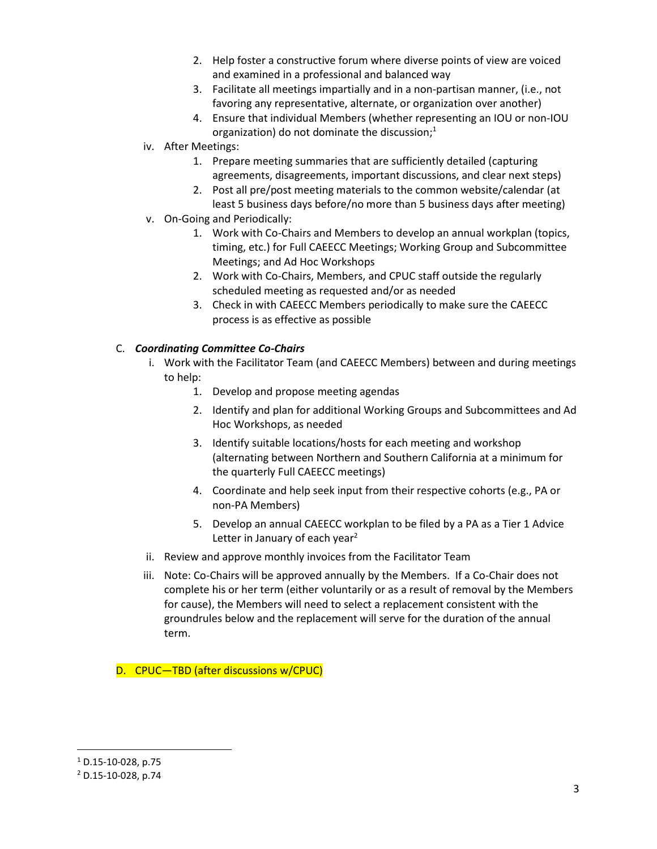- 2. Help foster a constructive forum where diverse points of view are voiced and examined in a professional and balanced way
- 3. Facilitate all meetings impartially and in a non-partisan manner, (i.e., not favoring any representative, alternate, or organization over another)
- 4. Ensure that individual Members (whether representing an IOU or non-IOU organization) do not dominate the discussion;<sup>1</sup>
- iv. After Meetings:
	- 1. Prepare meeting summaries that are sufficiently detailed (capturing agreements, disagreements, important discussions, and clear next steps)
	- 2. Post all pre/post meeting materials to the common website/calendar (at least 5 business days before/no more than 5 business days after meeting)
- v. On-Going and Periodically:
	- 1. Work with Co-Chairs and Members to develop an annual workplan (topics, timing, etc.) for Full CAEECC Meetings; Working Group and Subcommittee Meetings; and Ad Hoc Workshops
	- 2. Work with Co-Chairs, Members, and CPUC staff outside the regularly scheduled meeting as requested and/or as needed
	- 3. Check in with CAEECC Members periodically to make sure the CAEECC process is as effective as possible

### C. *Coordinating Committee Co-Chairs*

- i. Work with the Facilitator Team (and CAEECC Members) between and during meetings to help:
	- 1. Develop and propose meeting agendas
	- 2. Identify and plan for additional Working Groups and Subcommittees and Ad Hoc Workshops, as needed
	- 3. Identify suitable locations/hosts for each meeting and workshop (alternating between Northern and Southern California at a minimum for the quarterly Full CAEECC meetings)
	- 4. Coordinate and help seek input from their respective cohorts (e.g., PA or non-PA Members)
	- 5. Develop an annual CAEECC workplan to be filed by a PA as a Tier 1 Advice Letter in January of each year<sup>2</sup>
- ii. Review and approve monthly invoices from the Facilitator Team
- iii. Note: Co-Chairs will be approved annually by the Members. If a Co-Chair does not complete his or her term (either voluntarily or as a result of removal by the Members for cause), the Members will need to select a replacement consistent with the groundrules below and the replacement will serve for the duration of the annual term.

D. CPUC—TBD (after discussions w/CPUC)

 $\overline{\phantom{a}}$ 

 $1$  D.15-10-028, p.75

<sup>2</sup> D.15-10-028, p.74